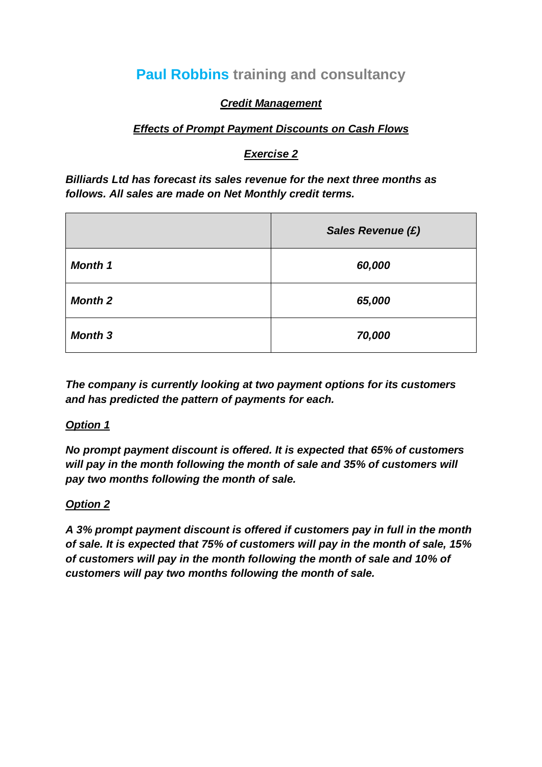# **Paul Robbins training and consultancy**

## *Credit Management*

#### *Effects of Prompt Payment Discounts on Cash Flows*

# *Exercise 2*

*Billiards Ltd has forecast its sales revenue for the next three months as follows. All sales are made on Net Monthly credit terms.*

|                | <b>Sales Revenue (£)</b> |  |  |
|----------------|--------------------------|--|--|
| <b>Month 1</b> | 60,000                   |  |  |
| <b>Month 2</b> | 65,000                   |  |  |
| <b>Month 3</b> | 70,000                   |  |  |

*The company is currently looking at two payment options for its customers and has predicted the pattern of payments for each.*

#### *Option 1*

*No prompt payment discount is offered. It is expected that 65% of customers will pay in the month following the month of sale and 35% of customers will pay two months following the month of sale.*

#### *Option 2*

*A 3% prompt payment discount is offered if customers pay in full in the month of sale. It is expected that 75% of customers will pay in the month of sale, 15% of customers will pay in the month following the month of sale and 10% of customers will pay two months following the month of sale.*